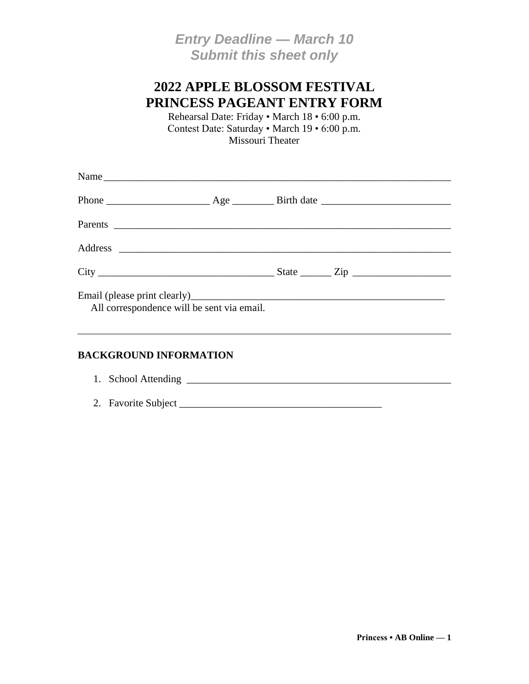## *Entry Deadline — March 10 Submit this sheet only*

## **2022 APPLE BLOSSOM FESTIVAL PRINCESS PAGEANT ENTRY FORM**

Rehearsal Date: Friday • March 18 • 6:00 p.m. Contest Date: Saturday • March 19 • 6:00 p.m. Missouri Theater

| Name                                       |  |  |
|--------------------------------------------|--|--|
|                                            |  |  |
|                                            |  |  |
|                                            |  |  |
|                                            |  |  |
| All correspondence will be sent via email. |  |  |

#### **BACKGROUND INFORMATION**

| 1. School Attending |
|---------------------|
| 2. Favorite Subject |
|                     |

**Princess • AB Online — 1**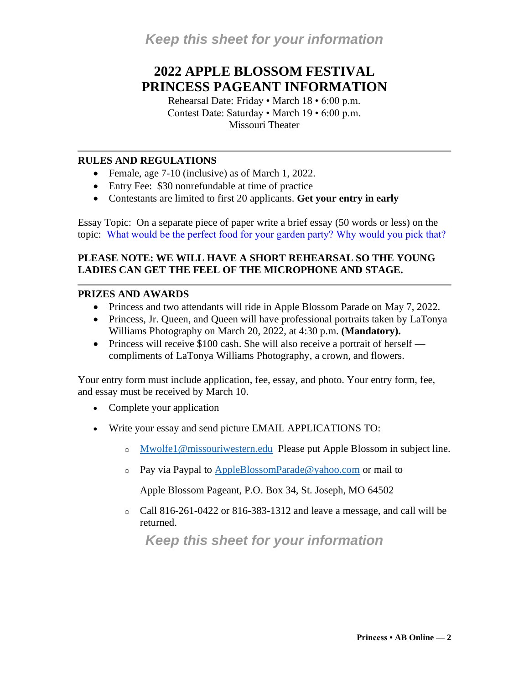# **2022 APPLE BLOSSOM FESTIVAL PRINCESS PAGEANT INFORMATION**

Rehearsal Date: Friday • March 18 • 6:00 p.m. Contest Date: Saturday • March 19 • 6:00 p.m. Missouri Theater

#### **RULES AND REGULATIONS**

- Female, age 7-10 (inclusive) as of March 1, 2022.
- Entry Fee: \$30 nonrefundable at time of practice
- Contestants are limited to first 20 applicants. **Get your entry in early**

Essay Topic: On a separate piece of paper write a brief essay (50 words or less) on the topic: What would be the perfect food for your garden party? Why would you pick that?

#### **PLEASE NOTE: WE WILL HAVE A SHORT REHEARSAL SO THE YOUNG LADIES CAN GET THE FEEL OF THE MICROPHONE AND STAGE.**

#### **PRIZES AND AWARDS**

- Princess and two attendants will ride in Apple Blossom Parade on May 7, 2022.
- Princess, Jr. Queen, and Queen will have professional portraits taken by LaTonya Williams Photography on March 20, 2022, at 4:30 p.m. **(Mandatory).**
- Princess will receive  $$100$  cash. She will also receive a portrait of herself compliments of LaTonya Williams Photography, a crown, and flowers.

Your entry form must include application, fee, essay, and photo. Your entry form, fee, and essay must be received by March 10.

- Complete your application
- Write your essay and send picture EMAIL APPLICATIONS TO:
	- o [Mwolfe1@missouriwestern.edu](mailto:Mwolfe1@missouriwestern.edu) Please put Apple Blossom in subject line.
	- $\circ$  Pay via Paypal to [AppleBlossomParade@yahoo.com](mailto:AppleBlossomParade@yahoo.com) or mail to

Apple Blossom Pageant, P.O. Box 34, St. Joseph, MO 64502

o Call 816-261-0422 or 816-383-1312 and leave a message, and call will be returned.

*Keep this sheet for your information*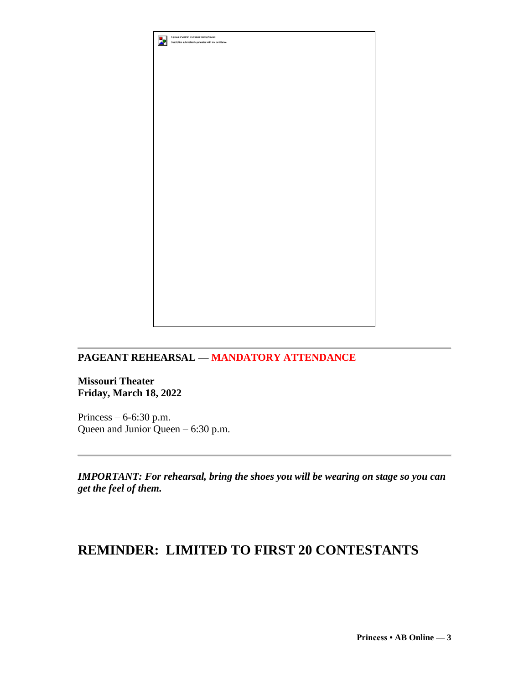

### **PAGEANT REHEARSAL — MANDATORY ATTENDANCE**

**Missouri Theater Friday, March 18, 2022**

Princess – 6-6:30 p.m. Queen and Junior Queen – 6:30 p.m.

*IMPORTANT: For rehearsal, bring the shoes you will be wearing on stage so you can get the feel of them.*

### **REMINDER: LIMITED TO FIRST 20 CONTESTANTS**